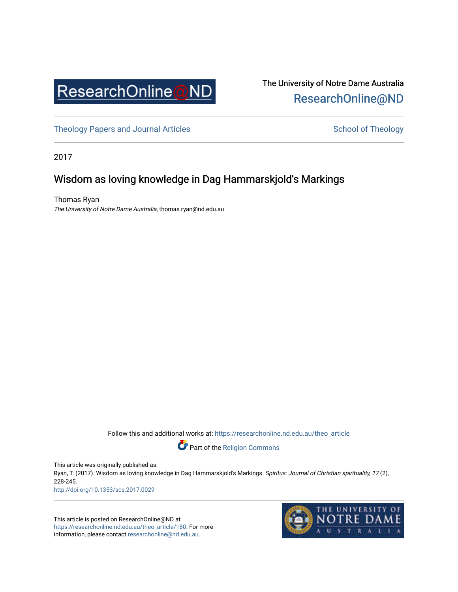

# The University of Notre Dame Australia [ResearchOnline@ND](https://researchonline.nd.edu.au/)

[Theology Papers and Journal Articles](https://researchonline.nd.edu.au/theo_article) and [School of Theology](https://researchonline.nd.edu.au/theo) School of Theology

2017

## Wisdom as loving knowledge in Dag Hammarskjold's Markings

Thomas Ryan The University of Notre Dame Australia, thomas.ryan@nd.edu.au

Follow this and additional works at: [https://researchonline.nd.edu.au/theo\\_article](https://researchonline.nd.edu.au/theo_article?utm_source=researchonline.nd.edu.au%2Ftheo_article%2F180&utm_medium=PDF&utm_campaign=PDFCoverPages) 

Part of the [Religion Commons](http://network.bepress.com/hgg/discipline/538?utm_source=researchonline.nd.edu.au%2Ftheo_article%2F180&utm_medium=PDF&utm_campaign=PDFCoverPages) 

This article was originally published as:

Ryan, T. (2017). Wisdom as loving knowledge in Dag Hammarskjold's Markings. Spiritus: Journal of Christian spirituality, 17 (2), 228-245. <http://doi.org/10.1353/scs.2017.0029>

This article is posted on ResearchOnline@ND at [https://researchonline.nd.edu.au/theo\\_article/180](https://researchonline.nd.edu.au/theo_article/180). For more information, please contact [researchonline@nd.edu.au.](mailto:researchonline@nd.edu.au)

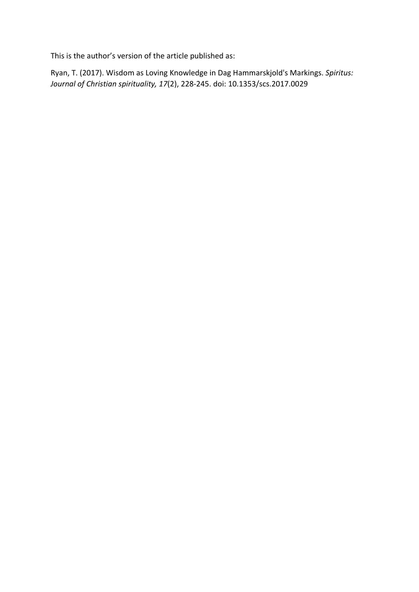This is the author's version of the article published as:

Ryan, T. (2017). Wisdom as Loving Knowledge in Dag Hammarskjold's Markings. *Spiritus: Journal of Christian spirituality, 17*(2), 228-245. doi: 10.1353/scs.2017.0029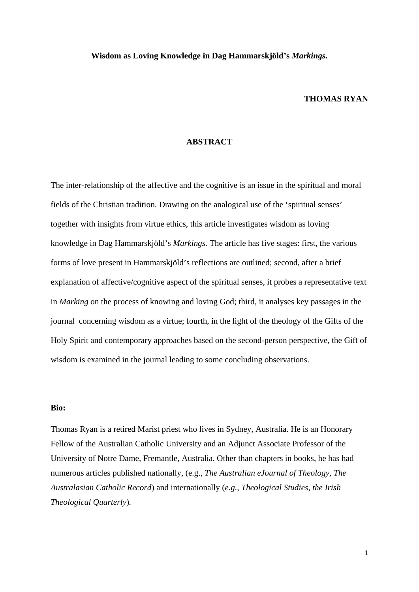## **Wisdom as Loving Knowledge in Dag Hammarskjöld's** *Markings.*

## **THOMAS RYAN**

## **ABSTRACT**

The inter-relationship of the affective and the cognitive is an issue in the spiritual and moral fields of the Christian tradition. Drawing on the analogical use of the 'spiritual senses' together with insights from virtue ethics, this article investigates wisdom as loving knowledge in Dag Hammarskjöld's *Markings.* The article has five stages: first, the various forms of love present in Hammarskjöld's reflections are outlined; second, after a brief explanation of affective/cognitive aspect of the spiritual senses, it probes a representative text in *Marking* on the process of knowing and loving God; third, it analyses key passages in the journal concerning wisdom as a virtue; fourth, in the light of the theology of the Gifts of the Holy Spirit and contemporary approaches based on the second-person perspective, the Gift of wisdom is examined in the journal leading to some concluding observations.

#### **Bio:**

Thomas Ryan is a retired Marist priest who lives in Sydney, Australia. He is an Honorary Fellow of the Australian Catholic University and an Adjunct Associate Professor of the University of Notre Dame, Fremantle, Australia. Other than chapters in books, he has had numerous articles published nationally, (e.g., *The Australian eJournal of Theology, The Australasian Catholic Record*) and internationally (*e.g., Theological Studies, the Irish Theological Quarterly*)*.*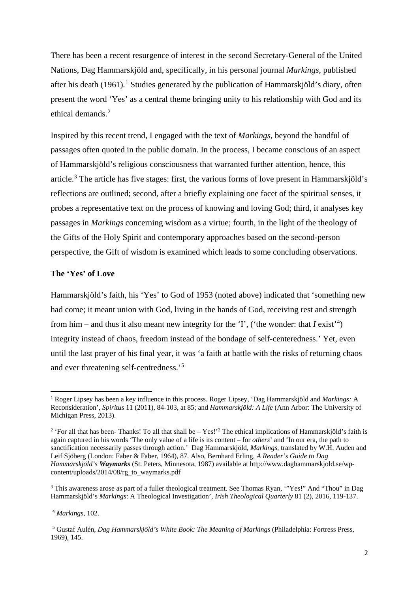There has been a recent resurgence of interest in the second Secretary-General of the United Nations, Dag Hammarskjöld and, specifically, in his personal journal *Markings*, published after his death (1961)*.* [1](#page-3-0) Studies generated by the publication of Hammarskjöld's diary, often present the word 'Yes' as a central theme bringing unity to his relationship with God and its ethical demands.<sup>[2](#page-3-1)</sup>

Inspired by this recent trend, I engaged with the text of *Markings,* beyond the handful of passages often quoted in the public domain. In the process, I became conscious of an aspect of Hammarskjöld's religious consciousness that warranted further attention, hence, this article.[3](#page-3-2) The article has five stages: first, the various forms of love present in Hammarskjöld's reflections are outlined; second, after a briefly explaining one facet of the spiritual senses, it probes a representative text on the process of knowing and loving God; third, it analyses key passages in *Markings* concerning wisdom as a virtue; fourth, in the light of the theology of the Gifts of the Holy Spirit and contemporary approaches based on the second-person perspective, the Gift of wisdom is examined which leads to some concluding observations.

## **The 'Yes' of Love**

Hammarskjöld's faith, his 'Yes' to God of 1953 (noted above) indicated that 'something new had come; it meant union with God, living in the hands of God, receiving rest and strength from him – and thus it also meant new integrity for the 'I', ('the wonder: that  $I$  exist'<sup>[4](#page-3-3)</sup>) integrity instead of chaos, freedom instead of the bondage of self-centeredness.' Yet, even until the last prayer of his final year, it was 'a faith at battle with the risks of returning chaos and ever threatening self-centredness.'[5](#page-3-4)

<span id="page-3-0"></span><sup>1</sup> Roger Lipsey has been a key influence in this process. Roger Lipsey, 'Dag Hammarskjöld and *Markings:* A Reconsideration', *Spiritus* 11 (2011), 84-103, at 85; and *Hammarskjöld: A Life* (Ann Arbor: The University of Michigan Press, 2013).

<span id="page-3-1"></span><sup>&</sup>lt;sup>2</sup> 'For all that has been- Thanks! To all that shall be – Yes!'<sup>2</sup> The ethical implications of Hammarskjöld's faith is again captured in his words 'The only value of a life is its content – for *others*' and 'In our era, the path to sanctification necessarily passes through action.' Dag Hammarskjöld, *Markings,* translated by W.H. Auden and Leif Sjöberg (London: Faber & Faber, 1964), 87. Also, Bernhard Erling, *A Reader's Guide to Dag Hammarskjöld's Waymarks* (St. Peters, Minnesota, 1987) available at http://www.daghammarskjold.se/wpcontent/uploads/2014/08/rg\_to\_waymarks.pdf

<span id="page-3-2"></span><sup>&</sup>lt;sup>3</sup> This awareness arose as part of a fuller theological treatment. See Thomas Ryan, "Yes!" And "Thou" in Dag Hammarskjöld's *Markings*: A Theological Investigation', *Irish Theological Quarterly* 81 (2), 2016, 119-137.

<span id="page-3-3"></span><sup>4</sup> *Markings*, 102.

<span id="page-3-4"></span><sup>5</sup> Gustaf Aulén, *Dag Hammarskjöld's White Book: The Meaning of Markings* (Philadelphia: Fortress Press, 1969), 145.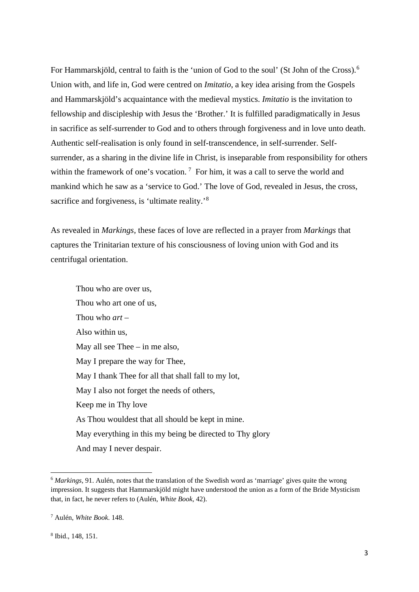For Hammarskjöld, central to faith is the 'union of God to the soul' (St John of the Cross).<sup>[6](#page-4-0)</sup> Union with, and life in, God were centred on *Imitatio*, a key idea arising from the Gospels and Hammarskjöld's acquaintance with the medieval mystics. *Imitatio* is the invitation to fellowship and discipleship with Jesus the 'Brother.' It is fulfilled paradigmatically in Jesus in sacrifice as self-surrender to God and to others through forgiveness and in love unto death. Authentic self-realisation is only found in self-transcendence, in self-surrender. Selfsurrender, as a sharing in the divine life in Christ, is inseparable from responsibility for others within the framework of one's vocation.<sup>[7](#page-4-1)</sup> For him, it was a call to serve the world and mankind which he saw as a 'service to God.' The love of God, revealed in Jesus, the cross, sacrifice and forgiveness, is 'ultimate reality.'<sup>[8](#page-4-2)</sup>

As revealed in *Markings,* these faces of love are reflected in a prayer from *Markings* that captures the Trinitarian texture of his consciousness of loving union with God and its centrifugal orientation.

Thou who are over us, Thou who art one of us, Thou who *art* – Also within us, May all see Thee – in me also, May I prepare the way for Thee, May I thank Thee for all that shall fall to my lot, May I also not forget the needs of others, Keep me in Thy love As Thou wouldest that all should be kept in mine. May everything in this my being be directed to Thy glory And may I never despair.

<span id="page-4-0"></span><sup>&</sup>lt;sup>6</sup> *Markings*, 91. Aulén, notes that the translation of the Swedish word as 'marriage' gives quite the wrong impression. It suggests that Hammarskjöld might have understood the union as a form of the Bride Mysticism that, in fact, he never refers to (Aulén, *White Book,* 42).

<span id="page-4-1"></span><sup>7</sup> Aulén, *White Book*. 148.

<span id="page-4-2"></span><sup>8</sup> Ibid., 148, 151.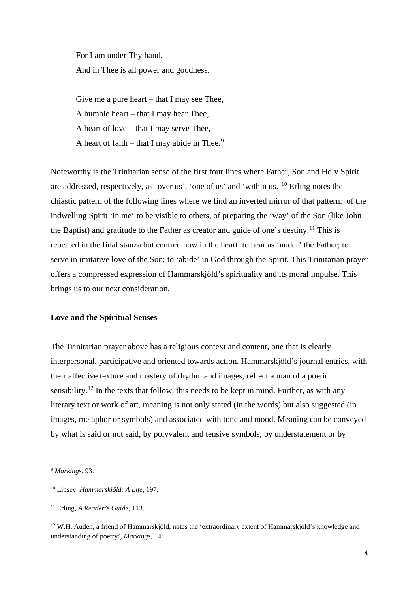For I am under Thy hand, And in Thee is all power and goodness.

Give me a pure heart – that I may see Thee, A humble heart – that I may hear Thee, A heart of love – that I may serve Thee, A heart of faith – that I may abide in Thee. $9$ 

Noteworthy is the Trinitarian sense of the first four lines where Father, Son and Holy Spirit are addressed, respectively, as 'over us', 'one of us' and 'within us.'[10](#page-5-1) Erling notes the chiastic pattern of the following lines where we find an inverted mirror of that pattern: of the indwelling Spirit 'in me' to be visible to others, of preparing the 'way' of the Son (like John the Baptist) and gratitude to the Father as creator and guide of one's destiny.<sup>[11](#page-5-2)</sup> This is repeated in the final stanza but centred now in the heart: to hear as 'under' the Father; to serve in imitative love of the Son; to 'abide' in God through the Spirit. This Trinitarian prayer offers a compressed expression of Hammarskjöld's spirituality and its moral impulse. This brings us to our next consideration.

## **Love and the Spiritual Senses**

The Trinitarian prayer above has a religious context and content, one that is clearly interpersonal, participative and oriented towards action. Hammarskjöld's journal entries, with their affective texture and mastery of rhythm and images, reflect a man of a poetic sensibility.<sup>[12](#page-5-3)</sup> In the texts that follow, this needs to be kept in mind. Further, as with any literary text or work of art, meaning is not only stated (in the words) but also suggested (in images, metaphor or symbols) and associated with tone and mood. Meaning can be conveyed by what is said or not said, by polyvalent and tensive symbols, by understatement or by

<span id="page-5-0"></span><sup>9</sup> *Markings*, 93.

<span id="page-5-1"></span><sup>10</sup> Lipsey, *Hammarskjöld: A Life,* 197.

<span id="page-5-2"></span><sup>11</sup> Erling, *A Reader's Guide,* 113.

<span id="page-5-3"></span><sup>12</sup> W.H. Auden, a friend of Hammarskjöld, notes the 'extraordinary extent of Hammarskjöld's knowledge and understanding of poetry', *Markings,* 14.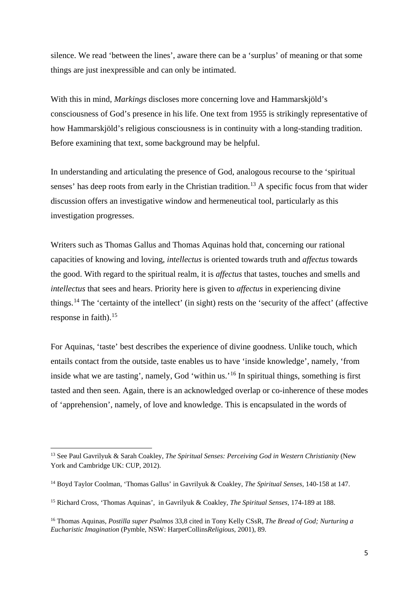silence. We read 'between the lines', aware there can be a 'surplus' of meaning or that some things are just inexpressible and can only be intimated.

With this in mind, *Markings* discloses more concerning love and Hammarskjöld's consciousness of God's presence in his life. One text from 1955 is strikingly representative of how Hammarskjöld's religious consciousness is in continuity with a long-standing tradition. Before examining that text, some background may be helpful.

In understanding and articulating the presence of God, analogous recourse to the 'spiritual senses' has deep roots from early in the Christian tradition.<sup>[13](#page-6-0)</sup> A specific focus from that wider discussion offers an investigative window and hermeneutical tool, particularly as this investigation progresses.

Writers such as Thomas Gallus and Thomas Aquinas hold that, concerning our rational capacities of knowing and loving, *intellectus* is oriented towards truth and *affectus* towards the good. With regard to the spiritual realm, it is *affectus* that tastes, touches and smells and *intellectus* that sees and hears. Priority here is given to *affectus* in experiencing divine things.[14](#page-6-1) The 'certainty of the intellect' (in sight) rests on the 'security of the affect' (affective response in faith).[15](#page-6-2)

For Aquinas, 'taste' best describes the experience of divine goodness. Unlike touch, which entails contact from the outside, taste enables us to have 'inside knowledge', namely, 'from inside what we are tasting', namely, God 'within us.'[16](#page-6-3) In spiritual things, something is first tasted and then seen. Again, there is an acknowledged overlap or co-inherence of these modes of 'apprehension', namely, of love and knowledge. This is encapsulated in the words of

<span id="page-6-0"></span><sup>13</sup> See Paul Gavrilyuk & Sarah Coakley, *The Spiritual Senses: Perceiving God in Western Christianity* (New York and Cambridge UK: CUP, 2012).

<span id="page-6-1"></span><sup>14</sup> Boyd Taylor Coolman, 'Thomas Gallus' in Gavrilyuk & Coakley, *The Spiritual Senses,* 140-158 at 147.

<span id="page-6-2"></span><sup>15</sup> Richard Cross, 'Thomas Aquinas', in Gavrilyuk & Coakley, *The Spiritual Senses,* 174-189 at 188.

<span id="page-6-3"></span><sup>16</sup> Thomas Aquinas, *Postilla super Psalmos* 33,8 cited in Tony Kelly CSsR, *The Bread of God; Nurturing a Eucharistic Imagination* (Pymble, NSW: HarperCollins*Religious*, 2001), 89.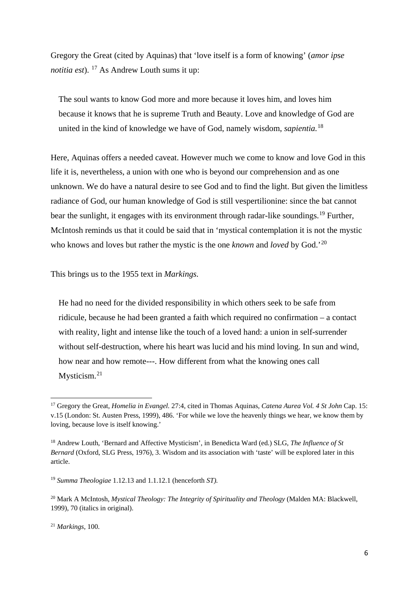Gregory the Great (cited by Aquinas) that 'love itself is a form of knowing' (*amor ipse notitia est*). [17](#page-7-0) As Andrew Louth sums it up:

The soul wants to know God more and more because it loves him, and loves him because it knows that he is supreme Truth and Beauty. Love and knowledge of God are united in the kind of knowledge we have of God, namely wisdom, *sapientia.*[18](#page-7-1)

Here, Aquinas offers a needed caveat. However much we come to know and love God in this life it is, nevertheless, a union with one who is beyond our comprehension and as one unknown. We do have a natural desire to see God and to find the light. But given the limitless radiance of God, our human knowledge of God is still vespertilionine: since the bat cannot bear the sunlight, it engages with its environment through radar-like soundings.<sup>[19](#page-7-2)</sup> Further, McIntosh reminds us that it could be said that in 'mystical contemplation it is not the mystic who knows and loves but rather the mystic is the one *known* and *loved* by God.<sup>'[20](#page-7-3)</sup>

This brings us to the 1955 text in *Markings.*

He had no need for the divided responsibility in which others seek to be safe from ridicule, because he had been granted a faith which required no confirmation – a contact with reality, light and intense like the touch of a loved hand: a union in self-surrender without self-destruction, where his heart was lucid and his mind loving. In sun and wind, how near and how remote---. How different from what the knowing ones call Mysticism.<sup>[21](#page-7-4)</sup>

<span id="page-7-0"></span><sup>17</sup> Gregory the Great, *Homelia in Evangel.* 27:4, cited in Thomas Aquinas, *Catena Aurea Vol. 4 St John* Cap. 15: v.15 (London: St. Austen Press, 1999), 486. 'For while we love the heavenly things we hear, we know them by loving, because love is itself knowing.'

<span id="page-7-1"></span><sup>18</sup> Andrew Louth, 'Bernard and Affective Mysticism', in Benedicta Ward (ed.) SLG, *The Influence of St Bernard* (Oxford, SLG Press, 1976), 3. Wisdom and its association with 'taste' will be explored later in this article.

<span id="page-7-2"></span><sup>19</sup> *Summa Theologiae* 1.12.13 and 1.1.12.1 (henceforth *ST).* 

<span id="page-7-3"></span><sup>20</sup> Mark A McIntosh, *Mystical Theology: The Integrity of Spirituality and Theology* (Malden MA: Blackwell, 1999), 70 (italics in original).

<span id="page-7-4"></span><sup>21</sup> *Markings*, 100.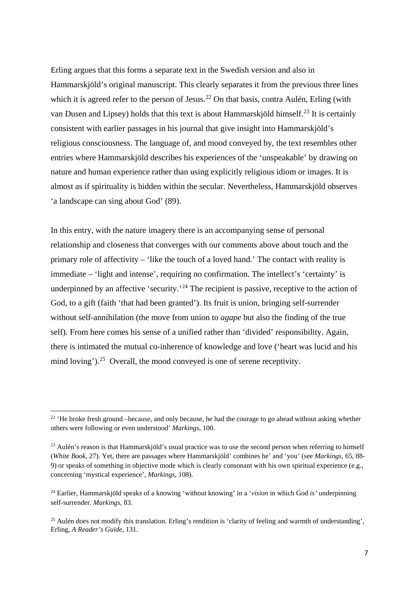Erling argues that this forms a separate text in the Swedish version and also in Hammarskjöld's original manuscript. This clearly separates it from the previous three lines which it is agreed refer to the person of Jesus.<sup>[22](#page-8-0)</sup> On that basis, contra Aulén, Erling (with van Dusen and Lipsey) holds that this text is about Hammarskjöld himself.<sup>[23](#page-8-1)</sup> It is certainly consistent with earlier passages in his journal that give insight into Hammarskjöld's religious consciousness. The language of, and mood conveyed by, the text resembles other entries where Hammarskjöld describes his experiences of the 'unspeakable' by drawing on nature and human experience rather than using explicitly religious idiom or images. It is almost as if spirituality is hidden within the secular. Nevertheless, Hammarskjöld observes 'a landscape can sing about God' (89).

In this entry, with the nature imagery there is an accompanying sense of personal relationship and closeness that converges with our comments above about touch and the primary role of affectivity – 'like the touch of a loved hand.' The contact with reality is immediate – 'light and intense', requiring no confirmation. The intellect's 'certainty' is underpinned by an affective 'security.<sup>[24](#page-8-2)</sup> The recipient is passive, receptive to the action of God, to a gift (faith 'that had been granted'). Its fruit is union, bringing self-surrender without self-annihilation (the move from union to *agape* but also the finding of the true self). From here comes his sense of a unified rather than 'divided' responsibility. Again, there is intimated the mutual co-inherence of knowledge and love ('heart was lucid and his mind loving').<sup>[25](#page-8-3)</sup> Overall, the mood conveyed is one of serene receptivity.

1

<span id="page-8-0"></span><sup>&</sup>lt;sup>22</sup> 'He broke fresh ground –because, and only because, he had the courage to go ahead without asking whether others were following or even understood' *Markings*, 100.

<span id="page-8-1"></span><sup>&</sup>lt;sup>23</sup> Aulén's reason is that Hammarskjöld's usual practice was to use the second person when referring to himself (*White Book,* 27). Yet, there are passages where Hammarskjöld' combines he' and 'you' (see *Markings,* 65, 88- 9) or speaks of something in objective mode which is clearly consonant with his own spiritual experience (e.g., concerning 'mystical experience', *Markings,* 108).

<span id="page-8-2"></span><sup>24</sup> Earlier, Hammarskjöld speaks of a knowing 'without knowing' in a '*vision* in which God *is'* underpinning self-surrender. *Markings,* 83.

<span id="page-8-3"></span><sup>&</sup>lt;sup>25</sup> Aulén does not modify this translation. Erling's rendition is 'clarity of feeling and warmth of understanding', Erling, *A Reader's Guide*, 131.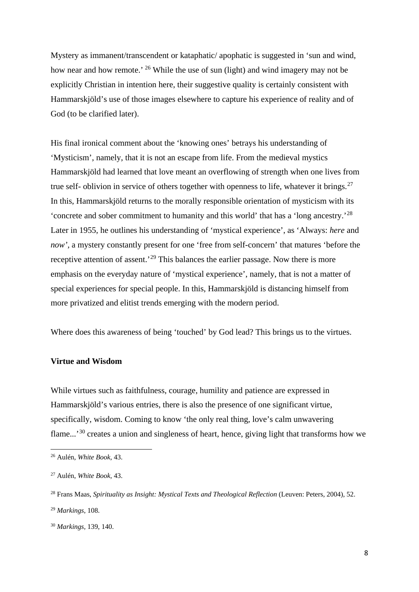Mystery as immanent/transcendent or kataphatic/ apophatic is suggested in 'sun and wind, how near and how remote.<sup>' [26](#page-9-0)</sup> While the use of sun (light) and wind imagery may not be explicitly Christian in intention here, their suggestive quality is certainly consistent with Hammarskjöld's use of those images elsewhere to capture his experience of reality and of God (to be clarified later).

His final ironical comment about the 'knowing ones' betrays his understanding of 'Mysticism', namely, that it is not an escape from life. From the medieval mystics Hammarskjöld had learned that love meant an overflowing of strength when one lives from true self- oblivion in service of others together with openness to life, whatever it brings.<sup>[27](#page-9-1)</sup> In this, Hammarskjöld returns to the morally responsible orientation of mysticism with its 'concrete and sober commitment to humanity and this world' that has a 'long ancestry.'[28](#page-9-2) Later in 1955, he outlines his understanding of 'mystical experience', as 'Always: *here* and *now',* a mystery constantly present for one 'free from self-concern' that matures 'before the receptive attention of assent.'[29](#page-9-3) This balances the earlier passage. Now there is more emphasis on the everyday nature of 'mystical experience', namely, that is not a matter of special experiences for special people. In this, Hammarskjöld is distancing himself from more privatized and elitist trends emerging with the modern period.

Where does this awareness of being 'touched' by God lead? This brings us to the virtues.

## **Virtue and Wisdom**

While virtues such as faithfulness, courage, humility and patience are expressed in Hammarskjöld's various entries, there is also the presence of one significant virtue, specifically, wisdom. Coming to know 'the only real thing, love's calm unwavering flame...<sup>'[30](#page-9-4)</sup> creates a union and singleness of heart, hence, giving light that transforms how we

<span id="page-9-0"></span><sup>26</sup> Aulén, *White Book,* 43.

<span id="page-9-1"></span><sup>27</sup> Aulén, *White Book,* 43.

<span id="page-9-2"></span><sup>28</sup> Frans Maas, *Spirituality as Insight: Mystical Texts and Theological Reflection* (Leuven: Peters, 2004), 52.

<span id="page-9-3"></span><sup>29</sup> *Markings*, 108.

<span id="page-9-4"></span><sup>30</sup> *Markings,* 139, 140.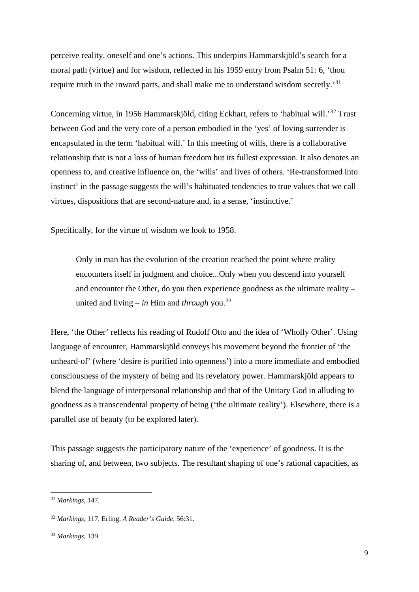perceive reality, oneself and one's actions. This underpins Hammarskjöld's search for a moral path (virtue) and for wisdom, reflected in his 1959 entry from Psalm 51: 6, 'thou require truth in the inward parts, and shall make me to understand wisdom secretly.'[31](#page-10-0) 

Concerning virtue, in 1956 Hammarskjöld, citing Eckhart, refers to 'habitual will.'[32](#page-10-1) Trust between God and the very core of a person embodied in the 'yes' of loving surrender is encapsulated in the term 'habitual will.' In this meeting of wills, there is a collaborative relationship that is not a loss of human freedom but its fullest expression. It also denotes an openness to, and creative influence on, the 'wills' and lives of others. 'Re-transformed into instinct' in the passage suggests the will's habituated tendencies to true values that we call virtues, dispositions that are second-nature and, in a sense, 'instinctive.'

Specifically, for the virtue of wisdom we look to 1958.

Only in man has the evolution of the creation reached the point where reality encounters itself in judgment and choice...Only when you descend into yourself and encounter the Other, do you then experience goodness as the ultimate reality – united and living – *in* Him and *through* you.<sup>[33](#page-10-2)</sup>

Here, 'the Other' reflects his reading of Rudolf Otto and the idea of 'Wholly Other'. Using language of encounter, Hammarskjöld conveys his movement beyond the frontier of 'the unheard-of' (where 'desire is purified into openness') into a more immediate and embodied consciousness of the mystery of being and its revelatory power. Hammarskjöld appears to blend the language of interpersonal relationship and that of the Unitary God in alluding to goodness as a transcendental property of being ('the ultimate reality'). Elsewhere, there is a parallel use of beauty (to be explored later).

This passage suggests the participatory nature of the 'experience' of goodness. It is the sharing of, and between, two subjects. The resultant shaping of one's rational capacities, as

<span id="page-10-0"></span><sup>31</sup> *Markings,* 147.

<span id="page-10-1"></span><sup>32</sup> *Markings,* 117. Erling, *A Reader's Guide*, 56:31.

<span id="page-10-2"></span><sup>33</sup> *Markings*, 139.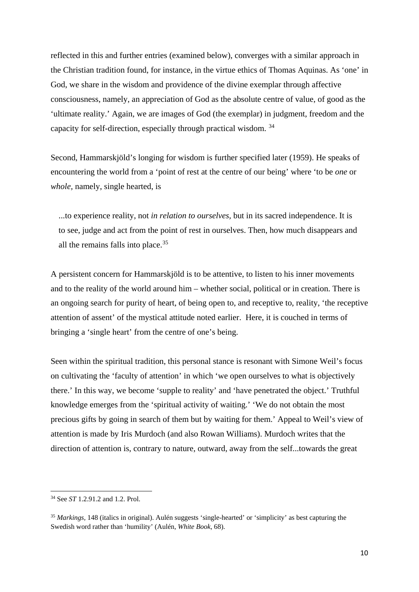reflected in this and further entries (examined below), converges with a similar approach in the Christian tradition found, for instance, in the virtue ethics of Thomas Aquinas. As 'one' in God, we share in the wisdom and providence of the divine exemplar through affective consciousness, namely, an appreciation of God as the absolute centre of value, of good as the 'ultimate reality.' Again, we are images of God (the exemplar) in judgment, freedom and the capacity for self-direction, especially through practical wisdom. [34](#page-11-0)

Second, Hammarskjöld's longing for wisdom is further specified later (1959). He speaks of encountering the world from a 'point of rest at the centre of our being' where 'to be *one* or *whole,* namely, single hearted, is

...to experience reality, not *in relation to ourselves,* but in its sacred independence. It is to see, judge and act from the point of rest in ourselves. Then, how much disappears and all the remains falls into place.<sup>[35](#page-11-1)</sup>

A persistent concern for Hammarskjöld is to be attentive, to listen to his inner movements and to the reality of the world around him – whether social, political or in creation. There is an ongoing search for purity of heart, of being open to, and receptive to, reality, 'the receptive attention of assent' of the mystical attitude noted earlier. Here, it is couched in terms of bringing a 'single heart' from the centre of one's being.

Seen within the spiritual tradition, this personal stance is resonant with Simone Weil's focus on cultivating the 'faculty of attention' in which 'we open ourselves to what is objectively there.' In this way, we become 'supple to reality' and 'have penetrated the object.' Truthful knowledge emerges from the 'spiritual activity of waiting.' 'We do not obtain the most precious gifts by going in search of them but by waiting for them.' Appeal to Weil's view of attention is made by Iris Murdoch (and also Rowan Williams). Murdoch writes that the direction of attention is, contrary to nature, outward, away from the self...towards the great

<span id="page-11-0"></span><sup>34</sup> See *ST* 1.2.91.2 and 1.2. Prol.

<span id="page-11-1"></span><sup>35</sup> *Markings,* 148 (italics in original). Aulén suggests 'single-hearted' or 'simplicity' as best capturing the Swedish word rather than 'humility' (Aulén, *White Book*, 68).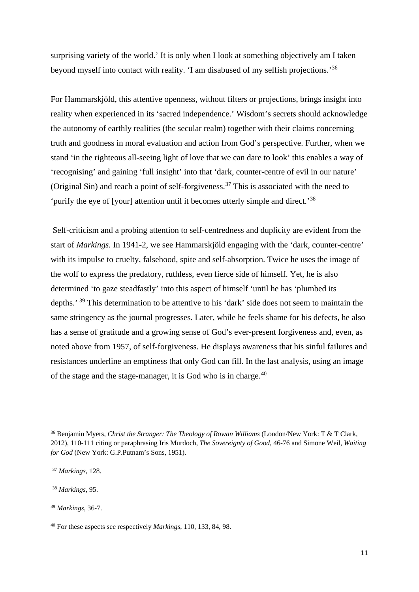surprising variety of the world.' It is only when I look at something objectively am I taken beyond myself into contact with reality. 'I am disabused of my selfish projections.'[36](#page-12-0) 

For Hammarskjöld, this attentive openness, without filters or projections, brings insight into reality when experienced in its 'sacred independence.' Wisdom's secrets should acknowledge the autonomy of earthly realities (the secular realm) together with their claims concerning truth and goodness in moral evaluation and action from God's perspective. Further, when we stand 'in the righteous all-seeing light of love that we can dare to look' this enables a way of 'recognising' and gaining 'full insight' into that 'dark, counter-centre of evil in our nature' (Original Sin) and reach a point of self-forgiveness. [37](#page-12-1) This is associated with the need to 'purify the eye of [your] attention until it becomes utterly simple and direct.'[38](#page-12-2)

Self-criticism and a probing attention to self-centredness and duplicity are evident from the start of *Markings.* In 1941-2, we see Hammarskjöld engaging with the 'dark, counter-centre' with its impulse to cruelty, falsehood, spite and self-absorption. Twice he uses the image of the wolf to express the predatory, ruthless, even fierce side of himself. Yet, he is also determined 'to gaze steadfastly' into this aspect of himself 'until he has 'plumbed its depths.' [39](#page-12-3) This determination to be attentive to his 'dark' side does not seem to maintain the same stringency as the journal progresses. Later, while he feels shame for his defects, he also has a sense of gratitude and a growing sense of God's ever-present forgiveness and, even, as noted above from 1957, of self-forgiveness. He displays awareness that his sinful failures and resistances underline an emptiness that only God can fill. In the last analysis, using an image of the stage and the stage-manager, it is God who is in charge.[40](#page-12-4)

<span id="page-12-0"></span><sup>36</sup> Benjamin Myers, *Christ the Stranger: The Theology of Rowan Williams* (London/New York: T & T Clark, 2012), 110-111 citing or paraphrasing Iris Murdoch, *The Sovereignty of Good,* 46-76 and Simone Weil, *Waiting for God* (New York: G.P.Putnam's Sons, 1951).

<span id="page-12-1"></span><sup>37</sup> *Markings,* 128.

<span id="page-12-2"></span><sup>38</sup> *Markings*, 95.

<span id="page-12-3"></span><sup>39</sup> *Markings*, 36-7.

<span id="page-12-4"></span><sup>40</sup> For these aspects see respectively *Markings*, 110, 133, 84, 98.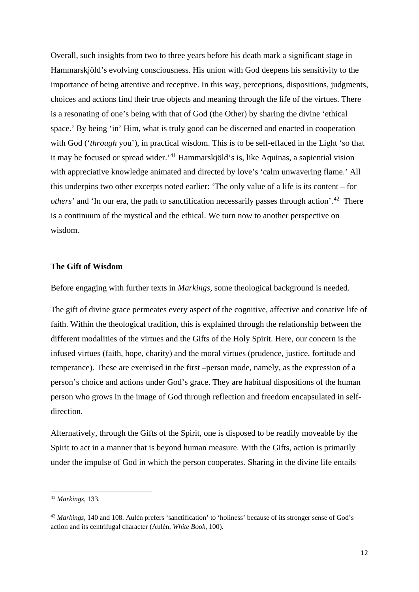Overall, such insights from two to three years before his death mark a significant stage in Hammarskjöld's evolving consciousness. His union with God deepens his sensitivity to the importance of being attentive and receptive. In this way, perceptions, dispositions, judgments, choices and actions find their true objects and meaning through the life of the virtues. There is a resonating of one's being with that of God (the Other) by sharing the divine 'ethical space.' By being 'in' Him, what is truly good can be discerned and enacted in cooperation with God ('*through* you'), in practical wisdom. This is to be self-effaced in the Light 'so that it may be focused or spread wider.' [41](#page-13-0) Hammarskjöld's is, like Aquinas, a sapiential vision with appreciative knowledge animated and directed by love's 'calm unwavering flame.' All this underpins two other excerpts noted earlier: 'The only value of a life is its content – for *others*' and 'In our era, the path to sanctification necessarily passes through action'.<sup>[42](#page-13-1)</sup> There is a continuum of the mystical and the ethical. We turn now to another perspective on wisdom.

## **The Gift of Wisdom**

Before engaging with further texts in *Markings,* some theological background is needed.

The gift of divine grace permeates every aspect of the cognitive, affective and conative life of faith. Within the theological tradition, this is explained through the relationship between the different modalities of the virtues and the Gifts of the Holy Spirit. Here, our concern is the infused virtues (faith, hope, charity) and the moral virtues (prudence, justice, fortitude and temperance). These are exercised in the first –person mode, namely, as the expression of a person's choice and actions under God's grace. They are habitual dispositions of the human person who grows in the image of God through reflection and freedom encapsulated in selfdirection.

Alternatively, through the Gifts of the Spirit, one is disposed to be readily moveable by the Spirit to act in a manner that is beyond human measure. With the Gifts, action is primarily under the impulse of God in which the person cooperates. Sharing in the divine life entails

<span id="page-13-0"></span><sup>41</sup> *Markings*, 133.

<span id="page-13-1"></span><sup>42</sup> *Markings*, 140 and 108. Aulén prefers 'sanctification' to 'holiness' because of its stronger sense of God's action and its centrifugal character (Aulén, *White Book*, 100).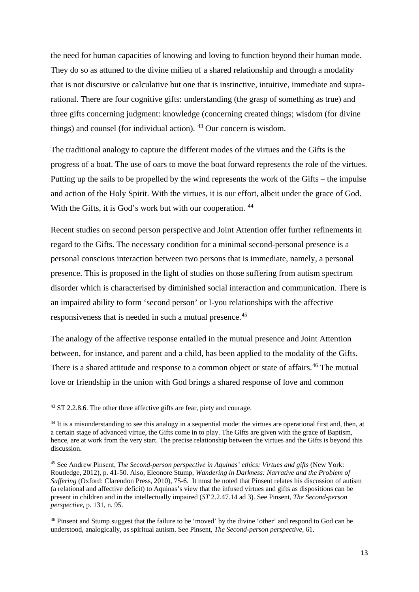the need for human capacities of knowing and loving to function beyond their human mode. They do so as attuned to the divine milieu of a shared relationship and through a modality that is not discursive or calculative but one that is instinctive, intuitive, immediate and suprarational. There are four cognitive gifts: understanding (the grasp of something as true) and three gifts concerning judgment: knowledge (concerning created things; wisdom (for divine things) and counsel (for individual action). [43](#page-14-0) Our concern is wisdom.

The traditional analogy to capture the different modes of the virtues and the Gifts is the progress of a boat. The use of oars to move the boat forward represents the role of the virtues. Putting up the sails to be propelled by the wind represents the work of the Gifts – the impulse and action of the Holy Spirit. With the virtues, it is our effort, albeit under the grace of God. With the Gifts, it is God's work but with our cooperation. <sup>[44](#page-14-1)</sup>

Recent studies on second person perspective and Joint Attention offer further refinements in regard to the Gifts. The necessary condition for a minimal second-personal presence is a personal conscious interaction between two persons that is immediate, namely, a personal presence. This is proposed in the light of studies on those suffering from autism spectrum disorder which is characterised by diminished social interaction and communication. There is an impaired ability to form 'second person' or I-you relationships with the affective responsiveness that is needed in such a mutual presence.<sup>[45](#page-14-2)</sup>

The analogy of the affective response entailed in the mutual presence and Joint Attention between, for instance, and parent and a child, has been applied to the modality of the Gifts. There is a shared attitude and response to a common object or state of affairs.<sup>[46](#page-14-3)</sup> The mutual love or friendship in the union with God brings a shared response of love and common

<span id="page-14-0"></span> $43$  ST 2.2.8.6. The other three affective gifts are fear, piety and courage.

<span id="page-14-1"></span><sup>&</sup>lt;sup>44</sup> It is a misunderstanding to see this analogy in a sequential mode: the virtues are operational first and, then, at a certain stage of advanced virtue, the Gifts come in to play. The Gifts are given with the grace of Baptism, hence, are at work from the very start. The precise relationship between the virtues and the Gifts is beyond this discussion.

<span id="page-14-2"></span><sup>45</sup> See Andrew Pinsent, *The Second-person perspective in Aquinas' ethics: Virtues and gifts* (New York: Routledge, 2012), p. 41-50. Also, Eleonore Stump, *Wandering in Darkness: Narrative and the Problem of Suffering* (Oxford: Clarendon Press, 2010), 75-6. It must be noted that Pinsent relates his discussion of autism (a relational and affective deficit) to Aquinas's view that the infused virtues and gifts as dispositions can be present in children and in the intellectually impaired (*ST* 2.2.47.14 ad 3). See Pinsent, *The Second-person perspective*, p. 131, n. 95.

<span id="page-14-3"></span><sup>46</sup> Pinsent and Stump suggest that the failure to be 'moved' by the divine 'other' and respond to God can be understood, analogically, as spiritual autism. See Pinsent, *The Second-person perspective,* 61.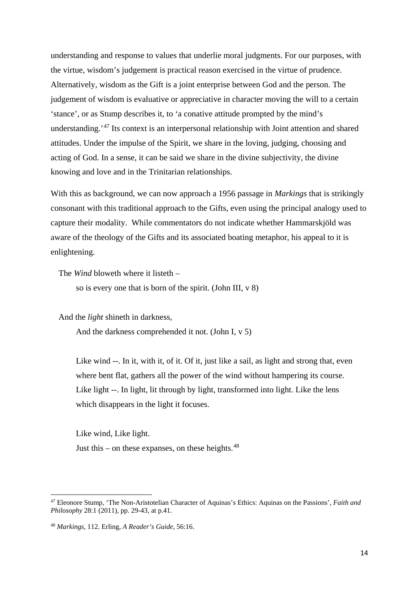understanding and response to values that underlie moral judgments. For our purposes, with the virtue, wisdom's judgement is practical reason exercised in the virtue of prudence. Alternatively, wisdom as the Gift is a joint enterprise between God and the person. The judgement of wisdom is evaluative or appreciative in character moving the will to a certain 'stance', or as Stump describes it, to 'a conative attitude prompted by the mind's understanding.'[47](#page-15-0) Its context is an interpersonal relationship with Joint attention and shared attitudes. Under the impulse of the Spirit, we share in the loving, judging, choosing and acting of God. In a sense, it can be said we share in the divine subjectivity, the divine knowing and love and in the Trinitarian relationships.

With this as background, we can now approach a 1956 passage in *Markings* that is strikingly consonant with this traditional approach to the Gifts, even using the principal analogy used to capture their modality. While commentators do not indicate whether Hammarskjöld was aware of the theology of the Gifts and its associated boating metaphor, his appeal to it is enlightening.

The *Wind* bloweth where it listeth –

so is every one that is born of the spirit. (John III, v 8)

And the *light* shineth in darkness,

And the darkness comprehended it not. (John I, v 5)

Like wind --. In it, with it, of it. Of it, just like a sail, as light and strong that, even where bent flat, gathers all the power of the wind without hampering its course. Like light --. In light, lit through by light, transformed into light. Like the lens which disappears in the light it focuses.

Like wind, Like light. Just this – on these expanses, on these heights. $48$ 

<span id="page-15-0"></span><sup>47</sup> Eleonore Stump, 'The Non-Aristotelian Character of Aquinas's Ethics: Aquinas on the Passions', *Faith and Philosophy* 28:1 (2011), pp. 29-43, at p.41.

<span id="page-15-1"></span><sup>48</sup> *Markings,* 112. Erling, *A Reader's Guide*, 56:16.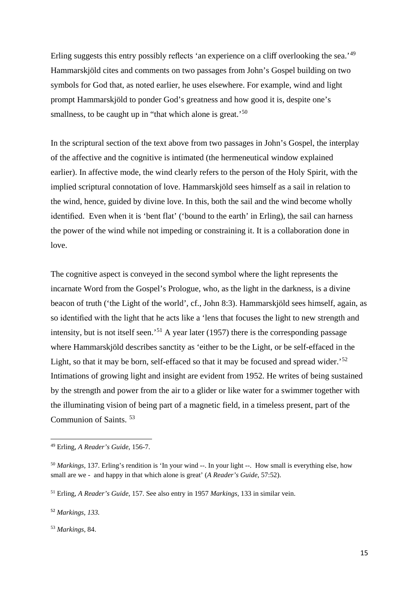Erling suggests this entry possibly reflects 'an experience on a cliff overlooking the sea.'<sup>[49](#page-16-0)</sup> Hammarskjöld cites and comments on two passages from John's Gospel building on two symbols for God that, as noted earlier, he uses elsewhere. For example, wind and light prompt Hammarskjöld to ponder God's greatness and how good it is, despite one's smallness, to be caught up in "that which alone is great.'<sup>[50](#page-16-1)</sup>

In the scriptural section of the text above from two passages in John's Gospel, the interplay of the affective and the cognitive is intimated (the hermeneutical window explained earlier). In affective mode, the wind clearly refers to the person of the Holy Spirit, with the implied scriptural connotation of love. Hammarskjöld sees himself as a sail in relation to the wind, hence, guided by divine love. In this, both the sail and the wind become wholly identified. Even when it is 'bent flat' ('bound to the earth' in Erling), the sail can harness the power of the wind while not impeding or constraining it. It is a collaboration done in love.

The cognitive aspect is conveyed in the second symbol where the light represents the incarnate Word from the Gospel's Prologue, who, as the light in the darkness, is a divine beacon of truth ('the Light of the world', cf., John 8:3). Hammarskjöld sees himself, again, as so identified with the light that he acts like a 'lens that focuses the light to new strength and intensity, but is not itself seen.<sup>[51](#page-16-2)</sup> A year later (1957) there is the corresponding passage where Hammarskjöld describes sanctity as 'either to be the Light, or be self-effaced in the Light, so that it may be born, self-effaced so that it may be focused and spread wider.<sup>[52](#page-16-3)</sup> Intimations of growing light and insight are evident from 1952. He writes of being sustained by the strength and power from the air to a glider or like water for a swimmer together with the illuminating vision of being part of a magnetic field, in a timeless present, part of the Communion of Saints. [53](#page-16-4)

<span id="page-16-0"></span><sup>49</sup> Erling, *A Reader's Guide*, 156-7.

<span id="page-16-1"></span><sup>50</sup> *Markings,* 137. Erling's rendition is 'In your wind --. In your light --. How small is everything else, how small are we - and happy in that which alone is great' (*A Reader's Guide*, 57:52).

<span id="page-16-2"></span><sup>51</sup> Erling, *A Reader's Guide*, 157. See also entry in 1957 *Markings,* 133 in similar vein.

<span id="page-16-3"></span><sup>52</sup> *Markings, 133.*

<span id="page-16-4"></span><sup>53</sup> *Markings,* 84.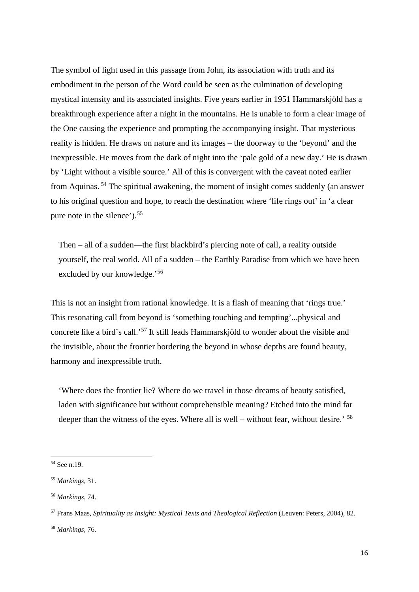The symbol of light used in this passage from John, its association with truth and its embodiment in the person of the Word could be seen as the culmination of developing mystical intensity and its associated insights. Five years earlier in 1951 Hammarskjöld has a breakthrough experience after a night in the mountains. He is unable to form a clear image of the One causing the experience and prompting the accompanying insight. That mysterious reality is hidden. He draws on nature and its images – the doorway to the 'beyond' and the inexpressible. He moves from the dark of night into the 'pale gold of a new day.' He is drawn by 'Light without a visible source.' All of this is convergent with the caveat noted earlier from Aquinas. [54](#page-17-0) The spiritual awakening, the moment of insight comes suddenly (an answer to his original question and hope, to reach the destination where 'life rings out' in 'a clear pure note in the silence').<sup>[55](#page-17-1)</sup>

Then – all of a sudden—the first blackbird's piercing note of call, a reality outside yourself, the real world. All of a sudden – the Earthly Paradise from which we have been excluded by our knowledge.'<sup>[56](#page-17-2)</sup>

This is not an insight from rational knowledge. It is a flash of meaning that 'rings true.' This resonating call from beyond is 'something touching and tempting'...physical and concrete like a bird's call.'[57](#page-17-3) It still leads Hammarskjöld to wonder about the visible and the invisible, about the frontier bordering the beyond in whose depths are found beauty, harmony and inexpressible truth.

'Where does the frontier lie? Where do we travel in those dreams of beauty satisfied, laden with significance but without comprehensible meaning? Etched into the mind far deeper than the witness of the eyes. Where all is well – without fear, without desire.' <sup>[58](#page-17-4)</sup>

<span id="page-17-0"></span><sup>54</sup> See n.19.

<span id="page-17-1"></span><sup>55</sup> *Markings,* 31.

<span id="page-17-2"></span><sup>56</sup> *Markings,* 74.

<span id="page-17-3"></span><sup>57</sup> Frans Maas, *Spirituality as Insight: Mystical Texts and Theological Reflection* (Leuven: Peters, 2004), 82.

<span id="page-17-4"></span><sup>58</sup> *Markings,* 76.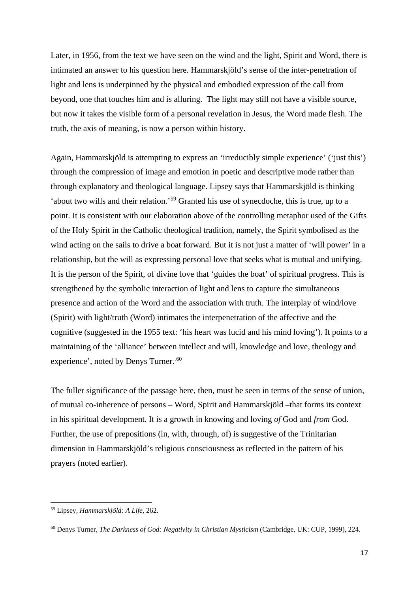Later, in 1956, from the text we have seen on the wind and the light, Spirit and Word, there is intimated an answer to his question here. Hammarskjöld's sense of the inter-penetration of light and lens is underpinned by the physical and embodied expression of the call from beyond, one that touches him and is alluring. The light may still not have a visible source, but now it takes the visible form of a personal revelation in Jesus, the Word made flesh. The truth, the axis of meaning, is now a person within history.

Again, Hammarskjöld is attempting to express an 'irreducibly simple experience' ('just this') through the compression of image and emotion in poetic and descriptive mode rather than through explanatory and theological language. Lipsey says that Hammarskjöld is thinking 'about two wills and their relation.'[59](#page-18-0) Granted his use of synecdoche, this is true, up to a point. It is consistent with our elaboration above of the controlling metaphor used of the Gifts of the Holy Spirit in the Catholic theological tradition, namely, the Spirit symbolised as the wind acting on the sails to drive a boat forward. But it is not just a matter of 'will power' in a relationship, but the will as expressing personal love that seeks what is mutual and unifying. It is the person of the Spirit, of divine love that 'guides the boat' of spiritual progress. This is strengthened by the symbolic interaction of light and lens to capture the simultaneous presence and action of the Word and the association with truth. The interplay of wind/love (Spirit) with light/truth (Word) intimates the interpenetration of the affective and the cognitive (suggested in the 1955 text: 'his heart was lucid and his mind loving'). It points to a maintaining of the 'alliance' between intellect and will, knowledge and love, theology and experience', noted by Denys Turner. [60](#page-18-1)

The fuller significance of the passage here, then, must be seen in terms of the sense of union, of mutual co-inherence of persons – Word, Spirit and Hammarskjöld –that forms its context in his spiritual development. It is a growth in knowing and loving *of* God and *from* God. Further, the use of prepositions (in, with, through, of) is suggestive of the Trinitarian dimension in Hammarskjöld's religious consciousness as reflected in the pattern of his prayers (noted earlier).

<span id="page-18-0"></span><sup>59</sup> Lipsey, *Hammarskjöld: A Life,* 262.

<span id="page-18-1"></span><sup>60</sup> Denys Turner, *The Darkness of God: Negativity in Christian Mysticism* (Cambridge, UK: CUP, 1999), 224.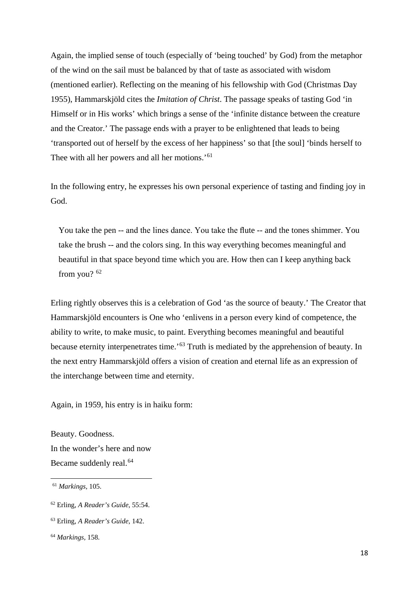Again, the implied sense of touch (especially of 'being touched' by God) from the metaphor of the wind on the sail must be balanced by that of taste as associated with wisdom (mentioned earlier). Reflecting on the meaning of his fellowship with God (Christmas Day 1955), Hammarskjöld cites the *Imitation of Christ*. The passage speaks of tasting God 'in Himself or in His works' which brings a sense of the 'infinite distance between the creature and the Creator.' The passage ends with a prayer to be enlightened that leads to being 'transported out of herself by the excess of her happiness' so that [the soul] 'binds herself to Thee with all her powers and all her motions.'[61](#page-19-0)

In the following entry, he expresses his own personal experience of tasting and finding joy in God.

You take the pen -- and the lines dance. You take the flute -- and the tones shimmer. You take the brush -- and the colors sing. In this way everything becomes meaningful and beautiful in that space beyond time which you are. How then can I keep anything back from you? [62](#page-19-1)

Erling rightly observes this is a celebration of God 'as the source of beauty.' The Creator that Hammarskjöld encounters is One who 'enlivens in a person every kind of competence, the ability to write, to make music, to paint. Everything becomes meaningful and beautiful because eternity interpenetrates time.'[63](#page-19-2) Truth is mediated by the apprehension of beauty. In the next entry Hammarskjöld offers a vision of creation and eternal life as an expression of the interchange between time and eternity.

Again, in 1959, his entry is in haiku form:

Beauty. Goodness. In the wonder's here and now Became suddenly real.<sup>[64](#page-19-3)</sup>

<span id="page-19-0"></span><sup>61</sup> *Markings,* 105.

<span id="page-19-1"></span><sup>62</sup> Erling, *A Reader's Guide*, 55:54.

<span id="page-19-2"></span><sup>63</sup> Erling, *A Reader's Guide*, 142.

<span id="page-19-3"></span><sup>64</sup> *Markings,* 158.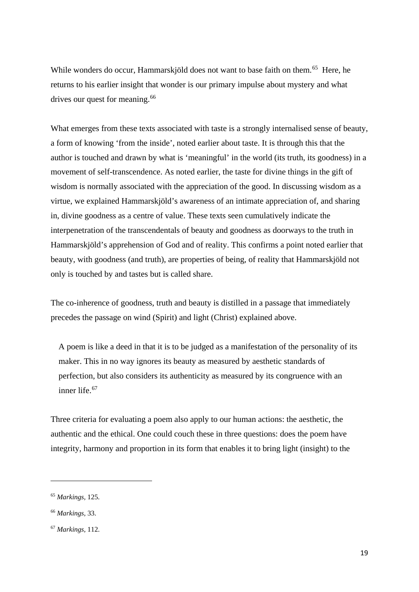While wonders do occur, Hammarskjöld does not want to base faith on them.<sup>65</sup> Here, he returns to his earlier insight that wonder is our primary impulse about mystery and what drives our quest for meaning.<sup>[66](#page-20-1)</sup>

What emerges from these texts associated with taste is a strongly internalised sense of beauty, a form of knowing 'from the inside', noted earlier about taste. It is through this that the author is touched and drawn by what is 'meaningful' in the world (its truth, its goodness) in a movement of self-transcendence. As noted earlier, the taste for divine things in the gift of wisdom is normally associated with the appreciation of the good. In discussing wisdom as a virtue, we explained Hammarskjöld's awareness of an intimate appreciation of, and sharing in, divine goodness as a centre of value. These texts seen cumulatively indicate the interpenetration of the transcendentals of beauty and goodness as doorways to the truth in Hammarskjöld's apprehension of God and of reality. This confirms a point noted earlier that beauty, with goodness (and truth), are properties of being, of reality that Hammarskjöld not only is touched by and tastes but is called share.

The co-inherence of goodness, truth and beauty is distilled in a passage that immediately precedes the passage on wind (Spirit) and light (Christ) explained above.

A poem is like a deed in that it is to be judged as a manifestation of the personality of its maker. This in no way ignores its beauty as measured by aesthetic standards of perfection, but also considers its authenticity as measured by its congruence with an inner life.<sup>67</sup>

Three criteria for evaluating a poem also apply to our human actions: the aesthetic, the authentic and the ethical. One could couch these in three questions: does the poem have integrity, harmony and proportion in its form that enables it to bring light (insight) to the

<span id="page-20-0"></span><sup>65</sup> *Markings,* 125.

<span id="page-20-1"></span><sup>66</sup> *Markings,* 33.

<span id="page-20-2"></span><sup>67</sup> *Markings,* 112.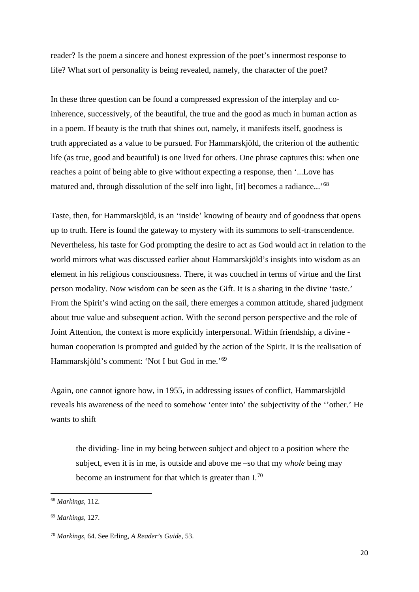reader? Is the poem a sincere and honest expression of the poet's innermost response to life? What sort of personality is being revealed, namely, the character of the poet?

In these three question can be found a compressed expression of the interplay and coinherence, successively, of the beautiful, the true and the good as much in human action as in a poem. If beauty is the truth that shines out, namely, it manifests itself, goodness is truth appreciated as a value to be pursued. For Hammarskjöld, the criterion of the authentic life (as true, good and beautiful) is one lived for others. One phrase captures this: when one reaches a point of being able to give without expecting a response, then '...Love has matured and, through dissolution of the self into light, [it] becomes a radiance...'[68](#page-21-0)

Taste, then, for Hammarskjöld, is an 'inside' knowing of beauty and of goodness that opens up to truth. Here is found the gateway to mystery with its summons to self-transcendence. Nevertheless, his taste for God prompting the desire to act as God would act in relation to the world mirrors what was discussed earlier about Hammarskjöld's insights into wisdom as an element in his religious consciousness. There, it was couched in terms of virtue and the first person modality. Now wisdom can be seen as the Gift. It is a sharing in the divine 'taste.' From the Spirit's wind acting on the sail, there emerges a common attitude, shared judgment about true value and subsequent action. With the second person perspective and the role of Joint Attention, the context is more explicitly interpersonal. Within friendship, a divine human cooperation is prompted and guided by the action of the Spirit. It is the realisation of Hammarskjöld's comment: 'Not I but God in me.'[69](#page-21-1)

Again, one cannot ignore how, in 1955, in addressing issues of conflict, Hammarskjöld reveals his awareness of the need to somehow 'enter into' the subjectivity of the ''other.' He wants to shift

the dividing- line in my being between subject and object to a position where the subject, even it is in me, is outside and above me –so that my *whole* being may become an instrument for that which is greater than  $I^{70}$  $I^{70}$  $I^{70}$ .

<span id="page-21-0"></span><sup>68</sup> *Markings,* 112.

<span id="page-21-1"></span><sup>69</sup> *Markings*, 127.

<span id="page-21-2"></span><sup>70</sup> *Markings,* 64. See Erling, *A Reader's Guide,* 53.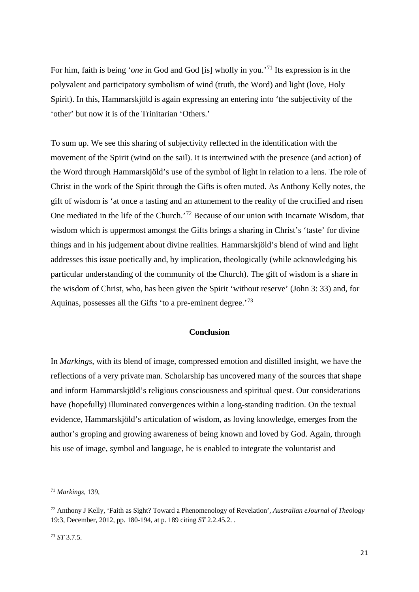For him, faith is being '*one* in God and God [is] wholly in you.<sup>'[71](#page-22-0)</sup> Its expression is in the polyvalent and participatory symbolism of wind (truth, the Word) and light (love, Holy Spirit). In this, Hammarskjöld is again expressing an entering into 'the subjectivity of the 'other' but now it is of the Trinitarian 'Others.'

To sum up. We see this sharing of subjectivity reflected in the identification with the movement of the Spirit (wind on the sail). It is intertwined with the presence (and action) of the Word through Hammarskjöld's use of the symbol of light in relation to a lens. The role of Christ in the work of the Spirit through the Gifts is often muted. As Anthony Kelly notes, the gift of wisdom is 'at once a tasting and an attunement to the reality of the crucified and risen One mediated in the life of the Church.'[72](#page-22-1) Because of our union with Incarnate Wisdom, that wisdom which is uppermost amongst the Gifts brings a sharing in Christ's 'taste' for divine things and in his judgement about divine realities. Hammarskjöld's blend of wind and light addresses this issue poetically and, by implication, theologically (while acknowledging his particular understanding of the community of the Church). The gift of wisdom is a share in the wisdom of Christ, who, has been given the Spirit 'without reserve' (John 3: 33) and, for Aquinas, possesses all the Gifts 'to a pre-eminent degree.'<sup>[73](#page-22-2)</sup>

## **Conclusion**

In *Markings*, with its blend of image, compressed emotion and distilled insight, we have the reflections of a very private man. Scholarship has uncovered many of the sources that shape and inform Hammarskjöld's religious consciousness and spiritual quest. Our considerations have (hopefully) illuminated convergences within a long-standing tradition. On the textual evidence, Hammarskjöld's articulation of wisdom, as loving knowledge, emerges from the author's groping and growing awareness of being known and loved by God. Again, through his use of image, symbol and language, he is enabled to integrate the voluntarist and

<span id="page-22-0"></span><sup>71</sup> *Markings,* 139,

<span id="page-22-2"></span><span id="page-22-1"></span><sup>72</sup> Anthony J Kelly, 'Faith as Sight? Toward a Phenomenology of Revelation', *Australian eJournal of Theology*  19:3, December, 2012, pp. 180-194, at p. 189 citing *ST* 2.2.45.2. .